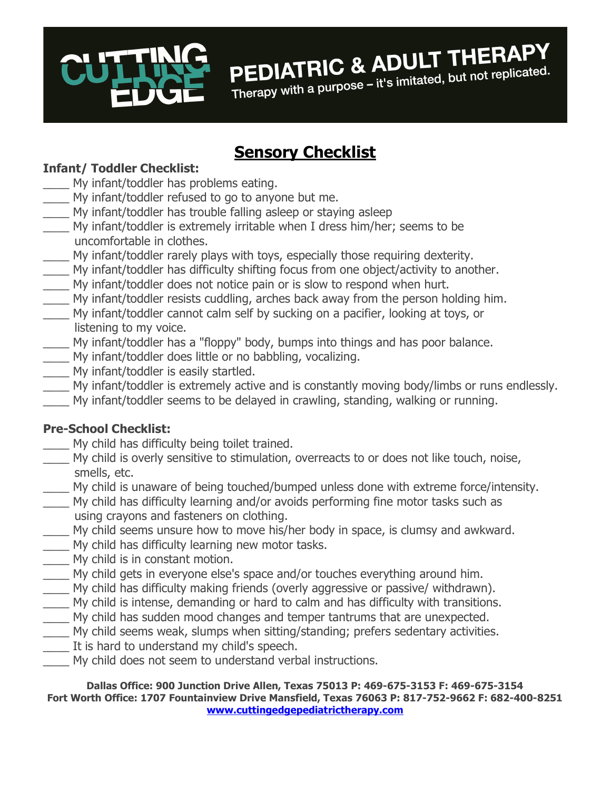

# **PEDIATRIC & ADULT THERAPY**<br>replicated. but not replicated. PEDIATRIC & ADULI INTERNATION

## Sensory Checklist

#### Infant/ Toddler Checklist:

- My infant/toddler has problems eating.
- \_\_\_\_ My infant/toddler refused to go to anyone but me.
- My infant/toddler has trouble falling asleep or staying asleep
- \_\_\_\_ My infant/toddler is extremely irritable when I dress him/her; seems to be uncomfortable in clothes.
- \_\_\_\_ My infant/toddler rarely plays with toys, especially those requiring dexterity.
- My infant/toddler has difficulty shifting focus from one object/activity to another.
- \_\_\_\_ My infant/toddler does not notice pain or is slow to respond when hurt.
- My infant/toddler resists cuddling, arches back away from the person holding him.
- My infant/toddler cannot calm self by sucking on a pacifier, looking at toys, or listening to my voice.
- \_\_\_\_ My infant/toddler has a "floppy" body, bumps into things and has poor balance.
- \_\_\_\_ My infant/toddler does little or no babbling, vocalizing.
- \_\_\_\_ My infant/toddler is easily startled.
- \_\_\_\_ My infant/toddler is extremely active and is constantly moving body/limbs or runs endlessly.
- \_\_\_\_ My infant/toddler seems to be delayed in crawling, standing, walking or running.

### Pre-School Checklist:

- My child has difficulty being toilet trained.
- \_\_\_\_ My child is overly sensitive to stimulation, overreacts to or does not like touch, noise, smells, etc.
- My child is unaware of being touched/bumped unless done with extreme force/intensity.
- \_\_\_\_ My child has difficulty learning and/or avoids performing fine motor tasks such as using crayons and fasteners on clothing.
- My child seems unsure how to move his/her body in space, is clumsy and awkward.
- My child has difficulty learning new motor tasks.
- \_\_\_\_ My child is in constant motion.
- \_\_\_\_ My child gets in everyone else's space and/or touches everything around him.
- My child has difficulty making friends (overly aggressive or passive/ withdrawn).
- \_\_\_\_ My child is intense, demanding or hard to calm and has difficulty with transitions.
- \_\_\_\_ My child has sudden mood changes and temper tantrums that are unexpected.
- \_\_\_\_ My child seems weak, slumps when sitting/standing; prefers sedentary activities.
- \_\_\_\_ It is hard to understand my child's speech.
- My child does not seem to understand verbal instructions.

Dallas Office: 900 Junction Drive Allen, Texas 75013 P: 469-675-3153 F: 469-675-3154 Fort Worth Office: 1707 Fountainview Drive Mansfield, Texas 76063 P: 817-752-9662 F: 682-400-8251 www.cuttingedgepediatrictherapy.com